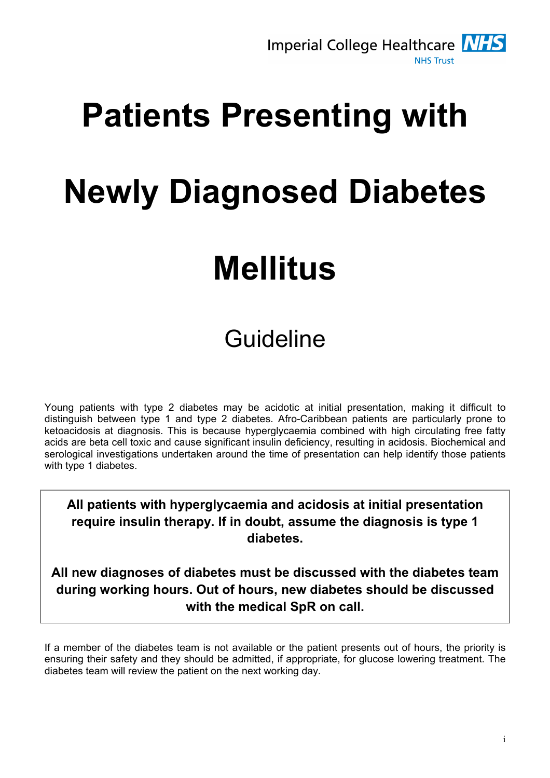

# Patients Presenting with Newly Diagnosed Diabetes Mellitus

## Guideline

Young patients with type 2 diabetes may be acidotic at initial presentation, making it difficult to distinguish between type 1 and type 2 diabetes. Afro-Caribbean patients are particularly prone to ketoacidosis at diagnosis. This is because hyperglycaemia combined with high circulating free fatty acids are beta cell toxic and cause significant insulin deficiency, resulting in acidosis. Biochemical and serological investigations undertaken around the time of presentation can help identify those patients with type 1 diabetes.

All patients with hyperglycaemia and acidosis at initial presentation require insulin therapy. If in doubt, assume the diagnosis is type 1 diabetes.

All new diagnoses of diabetes must be discussed with the diabetes team during working hours. Out of hours, new diabetes should be discussed with the medical SpR on call.

If a member of the diabetes team is not available or the patient presents out of hours, the priority is ensuring their safety and they should be admitted, if appropriate, for glucose lowering treatment. The diabetes team will review the patient on the next working day.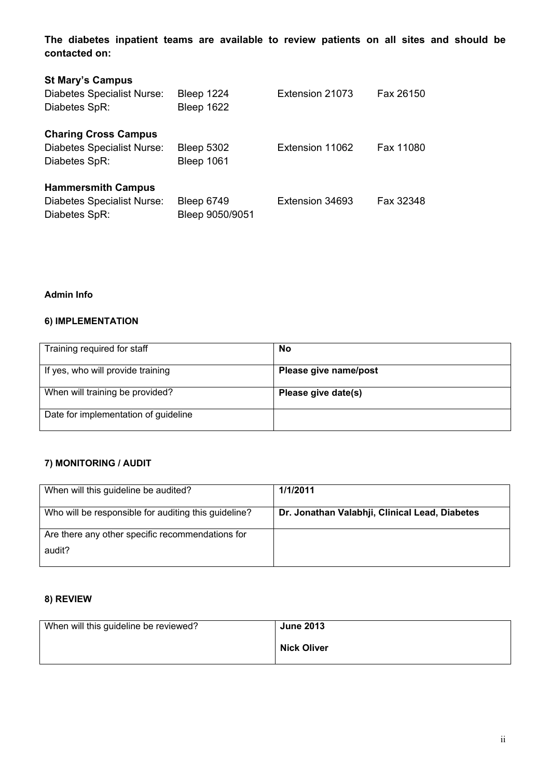The diabetes inpatient teams are available to review patients on all sites and should be contacted on:

| <b>St Mary's Campus</b><br>Diabetes Specialist Nurse:<br>Diabetes SpR:     | Bleep 1224<br>Bleep 1622        | Extension 21073 | Fax 26150 |
|----------------------------------------------------------------------------|---------------------------------|-----------------|-----------|
| <b>Charing Cross Campus</b><br>Diabetes Specialist Nurse:<br>Diabetes SpR: | <b>Bleep 5302</b><br>Bleep 1061 | Extension 11062 | Fax 11080 |
| <b>Hammersmith Campus</b><br>Diabetes Specialist Nurse:<br>Diabetes SpR:   | Bleep 6749<br>Bleep 9050/9051   | Extension 34693 | Fax 32348 |

#### Admin Info

#### 6) IMPLEMENTATION

| Training required for staff          | No                    |
|--------------------------------------|-----------------------|
| If yes, who will provide training    | Please give name/post |
| When will training be provided?      | Please give date(s)   |
| Date for implementation of guideline |                       |

#### 7) MONITORING / AUDIT

| When will this guideline be audited?                 | 1/1/2011                                       |
|------------------------------------------------------|------------------------------------------------|
| Who will be responsible for auditing this guideline? | Dr. Jonathan Valabhji, Clinical Lead, Diabetes |
| Are there any other specific recommendations for     |                                                |
| audit?                                               |                                                |

#### 8) REVIEW

| When will this guideline be reviewed? | <b>June 2013</b>   |
|---------------------------------------|--------------------|
|                                       | <b>Nick Oliver</b> |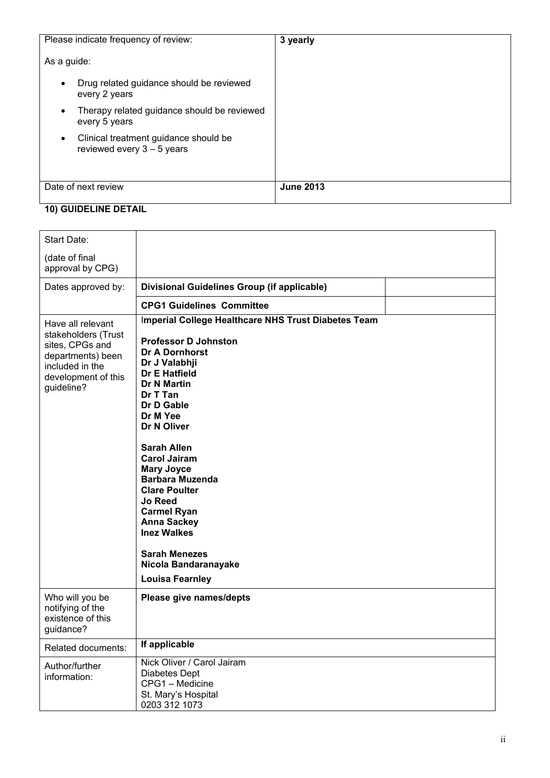| Please indicate frequency of review:                                               | 3 yearly         |
|------------------------------------------------------------------------------------|------------------|
| As a guide:                                                                        |                  |
| Drug related guidance should be reviewed<br>$\bullet$<br>every 2 years             |                  |
| Therapy related guidance should be reviewed<br>$\bullet$<br>every 5 years          |                  |
| Clinical treatment guidance should be<br>$\bullet$<br>reviewed every $3 - 5$ years |                  |
| Date of next review                                                                | <b>June 2013</b> |

### 10) GUIDELINE DETAIL

| Start Date:                                                                                                                              |                                                                                                                                                                                                                                                                                                                                                                                                                                                                                                            |
|------------------------------------------------------------------------------------------------------------------------------------------|------------------------------------------------------------------------------------------------------------------------------------------------------------------------------------------------------------------------------------------------------------------------------------------------------------------------------------------------------------------------------------------------------------------------------------------------------------------------------------------------------------|
| (date of final<br>approval by CPG)                                                                                                       |                                                                                                                                                                                                                                                                                                                                                                                                                                                                                                            |
| Dates approved by:                                                                                                                       | Divisional Guidelines Group (if applicable)                                                                                                                                                                                                                                                                                                                                                                                                                                                                |
|                                                                                                                                          | <b>CPG1 Guidelines Committee</b>                                                                                                                                                                                                                                                                                                                                                                                                                                                                           |
| Have all relevant<br>stakeholders (Trust<br>sites, CPGs and<br>departments) been<br>included in the<br>development of this<br>guideline? | Imperial College Healthcare NHS Trust Diabetes Team<br><b>Professor D Johnston</b><br>Dr A Dornhorst<br>Dr J Valabhji<br><b>Dr E Hatfield</b><br><b>Dr N Martin</b><br>Dr T Tan<br>Dr D Gable<br>Dr M Yee<br>Dr N Oliver<br><b>Sarah Allen</b><br><b>Carol Jairam</b><br><b>Mary Joyce</b><br><b>Barbara Muzenda</b><br><b>Clare Poulter</b><br><b>Jo Reed</b><br><b>Carmel Ryan</b><br><b>Anna Sackey</b><br><b>Inez Walkes</b><br><b>Sarah Menezes</b><br>Nicola Bandaranayake<br><b>Louisa Fearnley</b> |
| Who will you be<br>notifying of the<br>existence of this<br>quidance?                                                                    | Please give names/depts                                                                                                                                                                                                                                                                                                                                                                                                                                                                                    |
| Related documents:                                                                                                                       | If applicable                                                                                                                                                                                                                                                                                                                                                                                                                                                                                              |
| Author/further<br>information:                                                                                                           | Nick Oliver / Carol Jairam<br><b>Diabetes Dept</b><br>CPG1 - Medicine<br>St. Mary's Hospital<br>0203 312 1073                                                                                                                                                                                                                                                                                                                                                                                              |